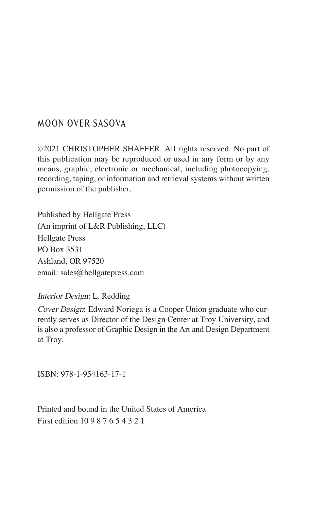### MOON OVER SASOVA

©2021 CHRISTOPHER SHAFFER. All rights reserved. No part of this publication may be reproduced or used in any form or by any means, graphic, electronic or mechanical, including photocopying, recording, taping, or information and retrieval systems without written permission of the publisher.

Published by Hellgate Press (An imprint of L&R Publishing, LLC) Hellgate Press PO Box 3531 Ashland, OR 97520 email: sales@hellgatepress.com

#### *Interior Design*: L. Redding

*Cover Design*: Edward Noriega is a Cooper Union graduate who currently serves as Director of the Design Center at Troy University, and is also a professor of Graphic Design in the Art and Design Department at Troy.

ISBN: 978-1-954163-17-1

Printed and bound in the United States of America First edition 10 9 8 7 6 5 4 3 2 1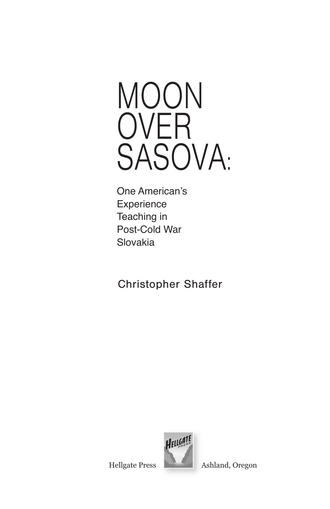

One American's **Experience** Teaching in Post-Cold War Slovakia

## Christopher Shaffer



Hellgate Press **Ashland**, Oregon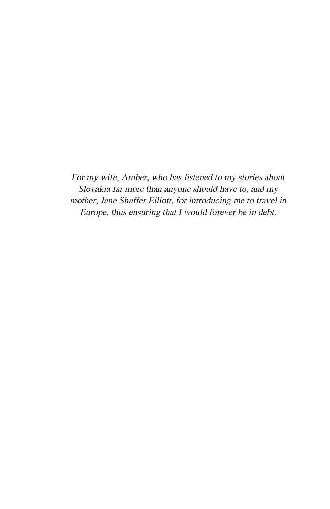*For my wife, Amber, who has listened to my stories about Slovakia far more than anyone should have to, and my mother, Jane Shaffer Elliott, for introducing me to travel in Europe, thus ensuring that I would forever be in debt.*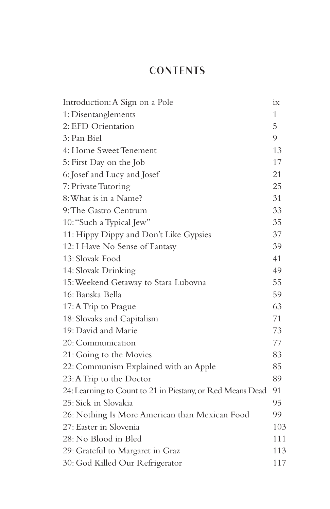### **CONTENTS**

| Introduction: A Sign on a Pole                             | ix  |
|------------------------------------------------------------|-----|
| 1: Disentanglements                                        | 1   |
| 2: EFD Orientation                                         | 5   |
| 3: Pan Biel                                                | 9   |
| 4: Home Sweet Tenement                                     | 13  |
| 5: First Day on the Job                                    | 17  |
| 6: Josef and Lucy and Josef                                | 21  |
| 7: Private Tutoring                                        | 25  |
| 8: What is in a Name?                                      | 31  |
| 9: The Gastro Centrum                                      | 33  |
| 10: "Such a Typical Jew"                                   | 35  |
| 11: Hippy Dippy and Don't Like Gypsies                     | 37  |
| 12: I Have No Sense of Fantasy                             | 39  |
| 13: Slovak Food                                            | 41  |
| 14: Slovak Drinking                                        | 49  |
| 15: Weekend Getaway to Stara Lubovna                       | 55  |
| 16: Banska Bella                                           | 59  |
| 17: A Trip to Prague                                       | 63  |
| 18: Slovaks and Capitalism                                 | 71  |
| 19: David and Marie                                        | 73  |
| 20: Communication                                          | 77  |
| 21: Going to the Movies                                    | 83  |
| 22: Communism Explained with an Apple                      | 85  |
| 23: A Trip to the Doctor                                   | 89  |
| 24: Learning to Count to 21 in Piestany, or Red Means Dead | 91  |
| 25: Sick in Slovakia                                       | 95  |
| 26: Nothing Is More American than Mexican Food             | 99  |
| 27: Easter in Slovenia                                     | 103 |
| 28: No Blood in Bled                                       | 111 |
| 29: Grateful to Margaret in Graz                           | 113 |
| 30: God Killed Our Refrigerator                            | 117 |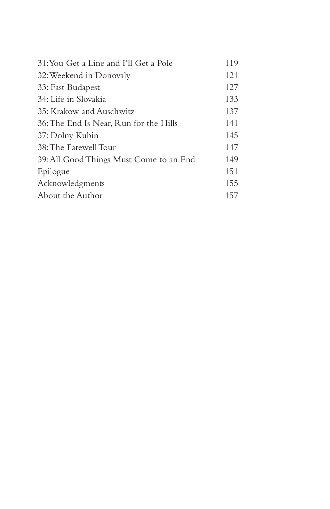| 31:You Get a Line and I'll Get a Pole   | 119 |
|-----------------------------------------|-----|
| 32: Weekend in Donovaly                 | 121 |
| 33: Fast Budapest                       | 127 |
| 34: Life in Slovakia                    | 133 |
| 35: Krakow and Auschwitz                | 137 |
| 36: The End Is Near, Run for the Hills  | 141 |
| 37: Dolny Kubin                         | 145 |
| 38: The Farewell Tour                   | 147 |
| 39: All Good Things Must Come to an End | 149 |
| Epilogue                                | 151 |
| Acknowledgments                         | 155 |
| About the Author                        | 157 |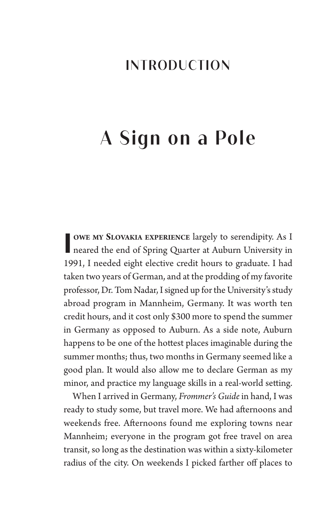## **INTRODUCTION**

# **A Sign on a Pole**

**I** OWE MY SLOVAKIA EXPERIENCE largely to serendipity. As I neared the end of Spring Quarter at Auburn University in **OWE MY SLOVAKIA EXPERIENCE** largely to serendipity. As I 1991, I needed eight elective credit hours to graduate. I had taken two years of German, and at the prodding of my favorite professor, Dr. Tom Nadar, I signed up for the University's study abroad program in Mannheim, Germany. It was worth ten credit hours, and it cost only \$300 more to spend the summer in Germany as opposed to Auburn. As a side note, Auburn happens to be one of the hottest places imaginable during the summer months; thus, two months in Germany seemed like a good plan. It would also allow me to declare German as my minor, and practice my language skills in a real-world setting.

When I arrived in Germany, *Frommer's Guide* in hand, I was ready to study some, but travel more. We had afternoons and weekends free. Afternoons found me exploring towns near Mannheim; everyone in the program got free travel on area transit, so long as the destination was within a sixty-kilometer radius of the city. On weekends I picked farther off places to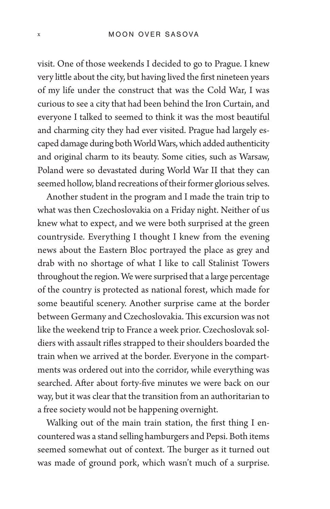visit. One of those weekends I decided to go to Prague. I knew very little about the city, but having lived the first nineteen years of my life under the construct that was the Cold War, I was curious to see a city that had been behind the Iron Curtain, and everyone I talked to seemed to think it was the most beautiful and charming city they had ever visited. Prague had largely escaped damage during both World Wars, which added authenticity and original charm to its beauty. Some cities, such as Warsaw, Poland were so devastated during World War II that they can seemed hollow, bland recreations of their former glorious selves.

Another student in the program and I made the train trip to what was then Czechoslovakia on a Friday night. Neither of us knew what to expect, and we were both surprised at the green countryside. Everything I thought I knew from the evening news about the Eastern Bloc portrayed the place as grey and drab with no shortage of what I like to call Stalinist Towers throughout the region. We were surprised that a large percentage of the country is protected as national forest, which made for some beautiful scenery. Another surprise came at the border between Germany and Czechoslovakia. This excursion was not like the weekend trip to France a week prior. Czechoslovak soldiers with assault rifles strapped to their shoulders boarded the train when we arrived at the border. Everyone in the compartments was ordered out into the corridor, while everything was searched. After about forty-five minutes we were back on our way, but it was clear that the transition from an authoritarian to a free society would not be happening overnight.

Walking out of the main train station, the first thing I encountered was a stand selling hamburgers and Pepsi. Both items seemed somewhat out of context. The burger as it turned out was made of ground pork, which wasn't much of a surprise.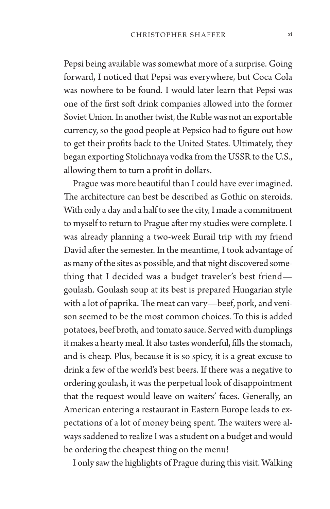Pepsi being available was somewhat more of a surprise. Going forward, I noticed that Pepsi was everywhere, but Coca Cola was nowhere to be found. I would later learn that Pepsi was one of the first soft drink companies allowed into the former Soviet Union. In another twist, the Ruble was not an exportable currency, so the good people at Pepsico had to figure out how to get their profits back to the United States. Ultimately, they began exporting Stolichnaya vodka from the USSR to the U.S., allowing them to turn a profit in dollars.

Prague was more beautiful than I could have ever imagined. The architecture can best be described as Gothic on steroids. With only a day and a half to see the city, I made a commitment to myself to return to Prague after my studies were complete. I was already planning a two-week Eurail trip with my friend David after the semester. In the meantime, I took advantage of as many of the sites as possible, and that night discovered something that I decided was a budget traveler's best friend goulash. Goulash soup at its best is prepared Hungarian style with a lot of paprika. The meat can vary—beef, pork, and venison seemed to be the most common choices. To this is added potatoes, beef broth, and tomato sauce. Served with dumplings it makes a hearty meal. It also tastes wonderful, fills the stomach, and is cheap. Plus, because it is so spicy, it is a great excuse to drink a few of the world's best beers. If there was a negative to ordering goulash, it was the perpetual look of disappointment that the request would leave on waiters' faces. Generally, an American entering a restaurant in Eastern Europe leads to expectations of a lot of money being spent. The waiters were always saddened to realize I was a student on a budget and would be ordering the cheapest thing on the menu!

I only saw the highlights of Prague during this visit. Walking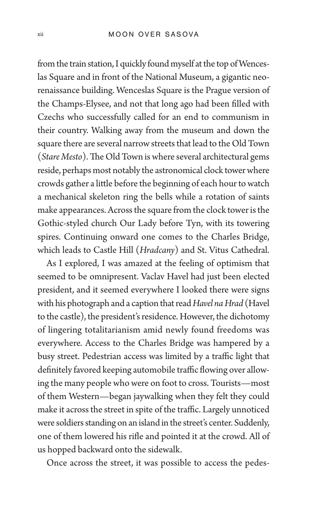from the train station, I quickly found myself at the top of Wenceslas Square and in front of the National Museum, a gigantic neorenaissance building. Wenceslas Square is the Prague version of the Champs-Elysee, and not that long ago had been filled with Czechs who successfully called for an end to communism in their country. Walking away from the museum and down the square there are several narrow streets that lead to the Old Town (*Stare Mesto*). The Old Town is where several architectural gems reside, perhaps most notably the astronomical clock tower where crowds gather a little before the beginning of each hour to watch a mechanical skeleton ring the bells while a rotation of saints make appearances. Across the square from the clock tower is the Gothic-styled church Our Lady before Tyn, with its towering spires. Continuing onward one comes to the Charles Bridge, which leads to Castle Hill (*Hradcany*) and St. Vitus Cathedral.

As I explored, I was amazed at the feeling of optimism that seemed to be omnipresent. Vaclav Havel had just been elected president, and it seemed everywhere I looked there were signs with his photograph and a caption that read *Havel na Hrad* (Havel to the castle), the president's residence. However, the dichotomy of lingering totalitarianism amid newly found freedoms was everywhere. Access to the Charles Bridge was hampered by a busy street. Pedestrian access was limited by a traffic light that definitely favored keeping automobile traffic flowing over allowing the many people who were on foot to cross. Tourists—most of them Western—began jaywalking when they felt they could make it across the street in spite of the traffic. Largely unnoticed were soldiers standing on an island in the street's center. Suddenly, one of them lowered his rifle and pointed it at the crowd. All of us hopped backward onto the sidewalk.

Once across the street, it was possible to access the pedes-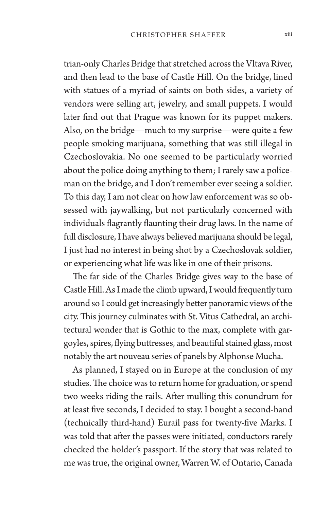trian-only Charles Bridge that stretched across the Vltava River, and then lead to the base of Castle Hill. On the bridge, lined with statues of a myriad of saints on both sides, a variety of vendors were selling art, jewelry, and small puppets. I would later find out that Prague was known for its puppet makers. Also, on the bridge—much to my surprise—were quite a few people smoking marijuana, something that was still illegal in Czechoslovakia. No one seemed to be particularly worried about the police doing anything to them; I rarely saw a policeman on the bridge, and I don't remember ever seeing a soldier. To this day, I am not clear on how law enforcement was so obsessed with jaywalking, but not particularly concerned with individuals flagrantly flaunting their drug laws. In the name of full disclosure, I have always believed marijuana should be legal, I just had no interest in being shot by a Czechoslovak soldier, or experiencing what life was like in one of their prisons.

The far side of the Charles Bridge gives way to the base of Castle Hill. As I made the climb upward, I would frequently turn around so I could get increasingly better panoramic views of the city. This journey culminates with St. Vitus Cathedral, an architectural wonder that is Gothic to the max, complete with gargoyles, spires, flying buttresses, and beautiful stained glass, most notably the art nouveau series of panels by Alphonse Mucha.

As planned, I stayed on in Europe at the conclusion of my studies. The choice was to return home for graduation, or spend two weeks riding the rails. After mulling this conundrum for at least five seconds, I decided to stay. I bought a second-hand (technically third-hand) Eurail pass for twenty-five Marks. I was told that after the passes were initiated, conductors rarely checked the holder's passport. If the story that was related to me was true, the original owner, Warren W. of Ontario, Canada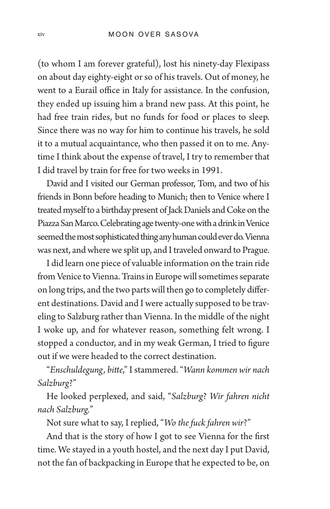(to whom I am forever grateful), lost his ninety-day Flexipass on about day eighty-eight or so of his travels. Out of money, he went to a Eurail office in Italy for assistance. In the confusion, they ended up issuing him a brand new pass. At this point, he had free train rides, but no funds for food or places to sleep. Since there was no way for him to continue his travels, he sold it to a mutual acquaintance, who then passed it on to me. Anytime I think about the expense of travel, I try to remember that I did travel by train for free for two weeks in 1991.

David and I visited our German professor, Tom, and two of his friends in Bonn before heading to Munich; then to Venice where I treated myself to a birthday present of Jack Daniels and Coke on the Piazza San Marco. Celebrating age twenty-one with a drink in Venice seemed the most sophisticated thing any human could ever do. Vienna was next, and where we split up, and I traveled onward to Prague.

I did learn one piece of valuable information on the train ride from Venice to Vienna. Trains in Europe will sometimes separate on long trips, and the two parts will then go to completely different destinations. David and I were actually supposed to be traveling to Salzburg rather than Vienna. In the middle of the night I woke up, and for whatever reason, something felt wrong. I stopped a conductor, and in my weak German, I tried to figure out if we were headed to the correct destination.

"*Enschuldegung, bitte*," I stammered. "*Wann kommen wir nach Salzburg*?"

He looked perplexed, and said, "*Salzburg*? *Wir fahren nicht nach Salzburg.*"

Not sure what to say, I replied, "*Wo the fuck fahren wir*?"

And that is the story of how I got to see Vienna for the first time. We stayed in a youth hostel, and the next day I put David, not the fan of backpacking in Europe that he expected to be, on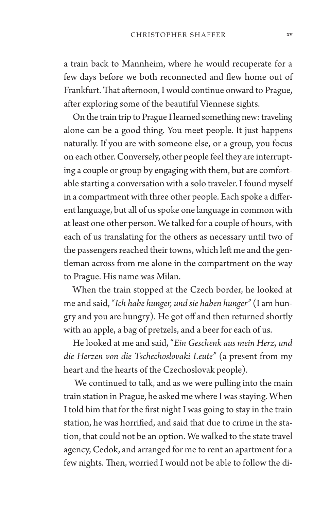a train back to Mannheim, where he would recuperate for a few days before we both reconnected and flew home out of Frankfurt. That afternoon, I would continue onward to Prague, after exploring some of the beautiful Viennese sights.

On the train trip to Prague I learned something new: traveling alone can be a good thing. You meet people. It just happens naturally. If you are with someone else, or a group, you focus on each other. Conversely, other people feel they are interrupting a couple or group by engaging with them, but are comfortable starting a conversation with a solo traveler. I found myself in a compartment with three other people. Each spoke a different language, but all of us spoke one language in common with at least one other person. We talked for a couple of hours, with each of us translating for the others as necessary until two of the passengers reached their towns, which left me and the gentleman across from me alone in the compartment on the way to Prague. His name was Milan.

When the train stopped at the Czech border, he looked at me and said, "*Ich habe hunger, und sie haben hunger"* (I am hungry and you are hungry). He got off and then returned shortly with an apple, a bag of pretzels, and a beer for each of us.

He looked at me and said, "*Ein Geschenk aus mein Herz, und die Herzen von die Tschechoslovaki Leute"* (a present from my heart and the hearts of the Czechoslovak people).

 We continued to talk, and as we were pulling into the main train station in Prague, he asked me where I was staying. When I told him that for the first night I was going to stay in the train station, he was horrified, and said that due to crime in the station, that could not be an option. We walked to the state travel agency, Cedok, and arranged for me to rent an apartment for a few nights. Then, worried I would not be able to follow the di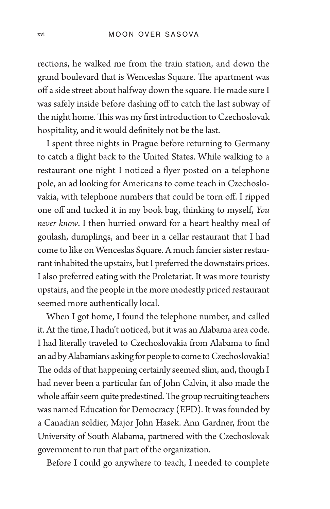rections, he walked me from the train station, and down the grand boulevard that is Wenceslas Square. The apartment was off a side street about halfway down the square. He made sure I was safely inside before dashing off to catch the last subway of the night home. This was my first introduction to Czechoslovak hospitality, and it would definitely not be the last.

I spent three nights in Prague before returning to Germany to catch a flight back to the United States. While walking to a restaurant one night I noticed a flyer posted on a telephone pole, an ad looking for Americans to come teach in Czechoslovakia, with telephone numbers that could be torn off. I ripped one off and tucked it in my book bag, thinking to myself, *You never know*. I then hurried onward for a heart healthy meal of goulash, dumplings, and beer in a cellar restaurant that I had come to like on Wenceslas Square. A much fancier sister restaurant inhabited the upstairs, but I preferred the downstairs prices. I also preferred eating with the Proletariat. It was more touristy upstairs, and the people in the more modestly priced restaurant seemed more authentically local.

When I got home, I found the telephone number, and called it. At the time, I hadn't noticed, but it was an Alabama area code. I had literally traveled to Czechoslovakia from Alabama to find an ad by Alabamians asking for people to come to Czechoslovakia! The odds of that happening certainly seemed slim, and, though I had never been a particular fan of John Calvin, it also made the whole affair seem quite predestined. The group recruiting teachers was named Education for Democracy (EFD). It was founded by a Canadian soldier, Major John Hasek. Ann Gardner, from the University of South Alabama, partnered with the Czechoslovak government to run that part of the organization.

Before I could go anywhere to teach, I needed to complete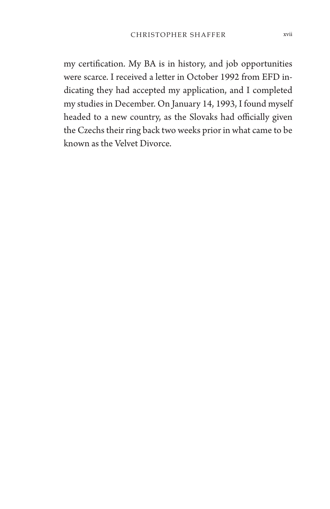my certification. My BA is in history, and job opportunities were scarce. I received a letter in October 1992 from EFD indicating they had accepted my application, and I completed my studies in December. On January 14, 1993, I found myself headed to a new country, as the Slovaks had officially given the Czechs their ring back two weeks prior in what came to be known as the Velvet Divorce.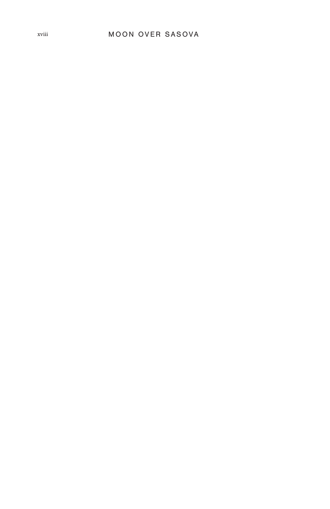### xviii MOON OVER SASOVA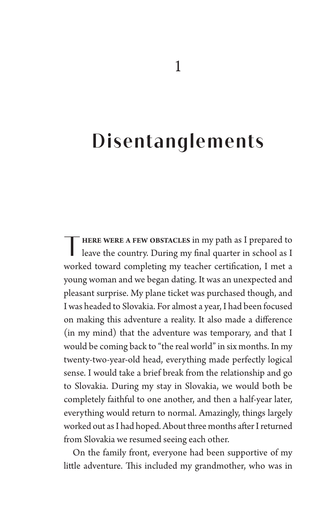## **Disentanglements**

**THERE WERE A FEW OBSTACLES** in my path as I prepared to leave the country. During my final quarter in school as I worked toward completing my teacher certification, I met a young woman and we began dating. It was an unexpected and pleasant surprise. My plane ticket was purchased though, and I was headed to Slovakia. For almost a year, I had been focused on making this adventure a reality. It also made a difference (in my mind) that the adventure was temporary, and that I would be coming back to "the real world" in six months. In my twenty-two-year-old head, everything made perfectly logical sense. I would take a brief break from the relationship and go to Slovakia. During my stay in Slovakia, we would both be completely faithful to one another, and then a half-year later, everything would return to normal. Amazingly, things largely worked out as I had hoped. About three months after I returned from Slovakia we resumed seeing each other.

On the family front, everyone had been supportive of my little adventure. This included my grandmother, who was in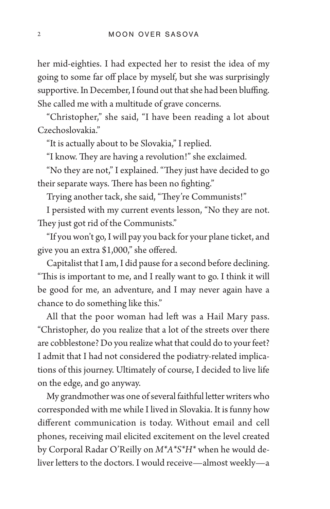her mid-eighties. I had expected her to resist the idea of my going to some far off place by myself, but she was surprisingly supportive. In December, I found out that she had been bluffing. She called me with a multitude of grave concerns.

"Christopher," she said, "I have been reading a lot about Czechoslovakia."

"It is actually about to be Slovakia," I replied.

"I know. They are having a revolution!" she exclaimed.

"No they are not," I explained. "They just have decided to go their separate ways. There has been no fighting."

Trying another tack, she said, "They're Communists!"

I persisted with my current events lesson, "No they are not. They just got rid of the Communists."

"If you won't go, I will pay you back for your plane ticket, and give you an extra \$1,000," she offered.

Capitalist that I am, I did pause for a second before declining. "This is important to me, and I really want to go. I think it will be good for me, an adventure, and I may never again have a chance to do something like this."

All that the poor woman had left was a Hail Mary pass. "Christopher, do you realize that a lot of the streets over there are cobblestone? Do you realize what that could do to your feet? I admit that I had not considered the podiatry-related implications of this journey. Ultimately of course, I decided to live life on the edge, and go anyway.

My grandmother was one of several faithful letter writers who corresponded with me while I lived in Slovakia. It is funny how different communication is today. Without email and cell phones, receiving mail elicited excitement on the level created by Corporal Radar O'Reilly on *M\*A\*S\*H\** when he would deliver letters to the doctors. I would receive—almost weekly—a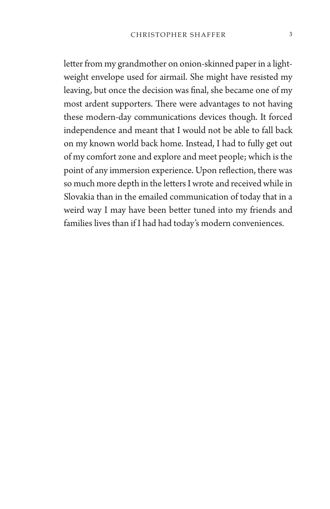letter from my grandmother on onion-skinned paper in a lightweight envelope used for airmail. She might have resisted my leaving, but once the decision was final, she became one of my most ardent supporters. There were advantages to not having these modern-day communications devices though. It forced independence and meant that I would not be able to fall back on my known world back home. Instead, I had to fully get out of my comfort zone and explore and meet people; which is the point of any immersion experience. Upon reflection, there was so much more depth in the letters I wrote and received while in Slovakia than in the emailed communication of today that in a weird way I may have been better tuned into my friends and families lives than if I had had today's modern conveniences.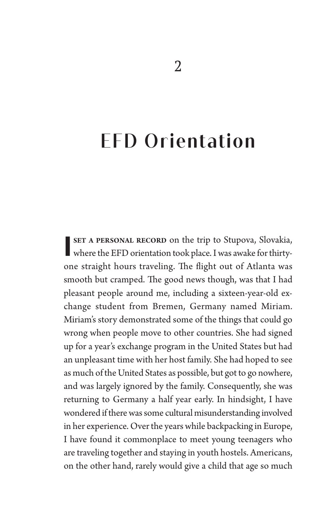# **EFD Orientation**

**I** SET A PERSONAL RECORD on the trip to Stupova, Slovakia, where the EFD orientation took place. I was awake for thirty-**SET A PERSONAL RECORD** on the trip to Stupova, Slovakia, one straight hours traveling. The flight out of Atlanta was smooth but cramped. The good news though, was that I had pleasant people around me, including a sixteen-year-old exchange student from Bremen, Germany named Miriam. Miriam's story demonstrated some of the things that could go wrong when people move to other countries. She had signed up for a year's exchange program in the United States but had an unpleasant time with her host family. She had hoped to see as much of the United States as possible, but got to go nowhere, and was largely ignored by the family. Consequently, she was returning to Germany a half year early. In hindsight, I have wondered if there was some cultural misunderstanding involved in her experience. Over the years while backpacking in Europe, I have found it commonplace to meet young teenagers who are traveling together and staying in youth hostels. Americans, on the other hand, rarely would give a child that age so much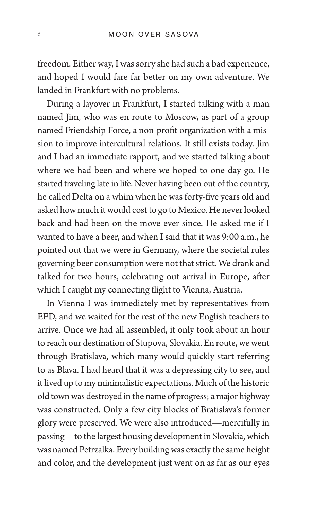freedom. Either way, I was sorry she had such a bad experience, and hoped I would fare far better on my own adventure. We landed in Frankfurt with no problems.

During a layover in Frankfurt, I started talking with a man named Jim, who was en route to Moscow, as part of a group named Friendship Force, a non-profit organization with a mission to improve intercultural relations. It still exists today. Jim and I had an immediate rapport, and we started talking about where we had been and where we hoped to one day go. He started traveling late in life. Never having been out of the country, he called Delta on a whim when he was forty-five years old and asked how much it would cost to go to Mexico. He never looked back and had been on the move ever since. He asked me if I wanted to have a beer, and when I said that it was 9:00 a.m., he pointed out that we were in Germany, where the societal rules governing beer consumption were not that strict. We drank and talked for two hours, celebrating out arrival in Europe, after which I caught my connecting flight to Vienna, Austria.

In Vienna I was immediately met by representatives from EFD, and we waited for the rest of the new English teachers to arrive. Once we had all assembled, it only took about an hour to reach our destination of Stupova, Slovakia. En route, we went through Bratislava, which many would quickly start referring to as Blava. I had heard that it was a depressing city to see, and it lived up to my minimalistic expectations. Much of the historic old town was destroyed in the name of progress; a major highway was constructed. Only a few city blocks of Bratislava's former glory were preserved. We were also introduced—mercifully in passing—to the largest housing development in Slovakia, which was named Petrzalka. Every building was exactly the same height and color, and the development just went on as far as our eyes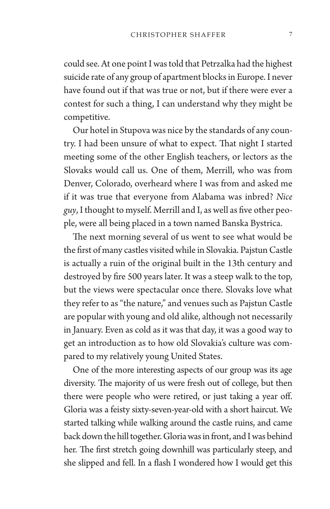could see. At one point I was told that Petrzalka had the highest suicide rate of any group of apartment blocks in Europe. I never have found out if that was true or not, but if there were ever a contest for such a thing, I can understand why they might be competitive.

Our hotel in Stupova was nice by the standards of any country. I had been unsure of what to expect. That night I started meeting some of the other English teachers, or lectors as the Slovaks would call us. One of them, Merrill, who was from Denver, Colorado, overheard where I was from and asked me if it was true that everyone from Alabama was inbred? *Nice guy*, I thought to myself. Merrill and I, as well as five other people, were all being placed in a town named Banska Bystrica.

The next morning several of us went to see what would be the first of many castles visited while in Slovakia. Pajstun Castle is actually a ruin of the original built in the 13th century and destroyed by fire 500 years later. It was a steep walk to the top, but the views were spectacular once there. Slovaks love what they refer to as "the nature," and venues such as Pajstun Castle are popular with young and old alike, although not necessarily in January. Even as cold as it was that day, it was a good way to get an introduction as to how old Slovakia's culture was compared to my relatively young United States.

One of the more interesting aspects of our group was its age diversity. The majority of us were fresh out of college, but then there were people who were retired, or just taking a year off. Gloria was a feisty sixty-seven-year-old with a short haircut. We started talking while walking around the castle ruins, and came back down the hill together. Gloria was in front, and I was behind her. The first stretch going downhill was particularly steep, and she slipped and fell. In a flash I wondered how I would get this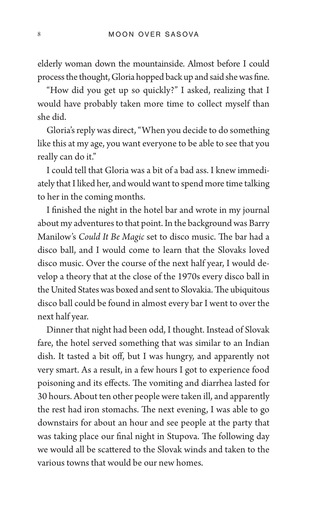elderly woman down the mountainside. Almost before I could process the thought, Gloria hopped back up and said she was fine.

"How did you get up so quickly?" I asked, realizing that I would have probably taken more time to collect myself than she did.

Gloria's reply was direct, "When you decide to do something like this at my age, you want everyone to be able to see that you really can do it."

I could tell that Gloria was a bit of a bad ass. I knew immediately that I liked her, and would want to spend more time talking to her in the coming months.

I finished the night in the hotel bar and wrote in my journal about my adventures to that point. In the background was Barry Manilow's *Could It Be Magic* set to disco music. The bar had a disco ball, and I would come to learn that the Slovaks loved disco music. Over the course of the next half year, I would develop a theory that at the close of the 1970s every disco ball in the United States was boxed and sent to Slovakia. The ubiquitous disco ball could be found in almost every bar I went to over the next half year.

Dinner that night had been odd, I thought. Instead of Slovak fare, the hotel served something that was similar to an Indian dish. It tasted a bit off, but I was hungry, and apparently not very smart. As a result, in a few hours I got to experience food poisoning and its effects. The vomiting and diarrhea lasted for 30 hours. About ten other people were taken ill, and apparently the rest had iron stomachs. The next evening, I was able to go downstairs for about an hour and see people at the party that was taking place our final night in Stupova. The following day we would all be scattered to the Slovak winds and taken to the various towns that would be our new homes.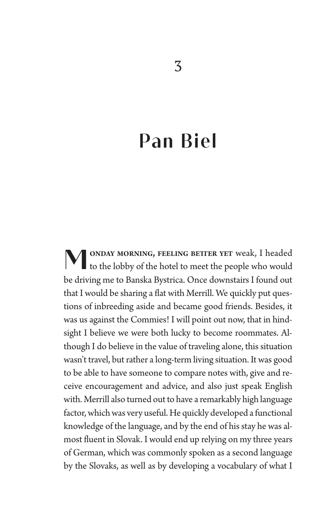# **Pan Biel**

**MONDAY MORNING, FEELING BETTER YET** weak, I headed to the lobby of the hotel to meet the people who would be driving me to Banska Bystrica. Once downstairs I found out that I would be sharing a flat with Merrill. We quickly put questions of inbreeding aside and became good friends. Besides, it was us against the Commies! I will point out now, that in hindsight I believe we were both lucky to become roommates. Although I do believe in the value of traveling alone, this situation wasn't travel, but rather a long-term living situation. It was good to be able to have someone to compare notes with, give and receive encouragement and advice, and also just speak English with. Merrill also turned out to have a remarkably high language factor, which was very useful. He quickly developed a functional knowledge of the language, and by the end of his stay he was almost fluent in Slovak. I would end up relying on my three years of German, which was commonly spoken as a second language by the Slovaks, as well as by developing a vocabulary of what I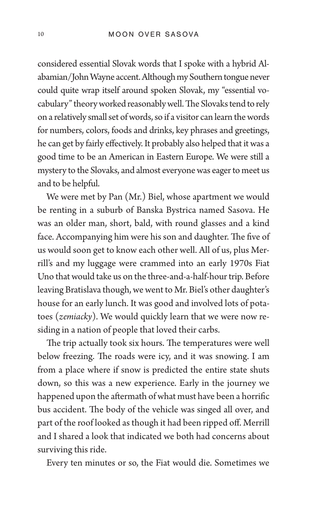considered essential Slovak words that I spoke with a hybrid Alabamian/John Wayne accent. Although my Southern tongue never could quite wrap itself around spoken Slovak, my "essential vocabulary" theory worked reasonably well. The Slovaks tend to rely on a relatively small set of words, so if a visitor can learn the words for numbers, colors, foods and drinks, key phrases and greetings, he can get by fairly effectively. It probably also helped that it was a good time to be an American in Eastern Europe. We were still a mystery to the Slovaks, and almost everyone was eager to meet us and to be helpful.

We were met by Pan (Mr.) Biel, whose apartment we would be renting in a suburb of Banska Bystrica named Sasova. He was an older man, short, bald, with round glasses and a kind face. Accompanying him were his son and daughter. The five of us would soon get to know each other well. All of us, plus Merrill's and my luggage were crammed into an early 1970s Fiat Uno that would take us on the three-and-a-half-hour trip. Before leaving Bratislava though, we went to Mr. Biel's other daughter's house for an early lunch. It was good and involved lots of potatoes (*zemiacky*). We would quickly learn that we were now residing in a nation of people that loved their carbs.

The trip actually took six hours. The temperatures were well below freezing. The roads were icy, and it was snowing. I am from a place where if snow is predicted the entire state shuts down, so this was a new experience. Early in the journey we happened upon the aftermath of what must have been a horrific bus accident. The body of the vehicle was singed all over, and part of the roof looked as though it had been ripped off. Merrill and I shared a look that indicated we both had concerns about surviving this ride.

Every ten minutes or so, the Fiat would die. Sometimes we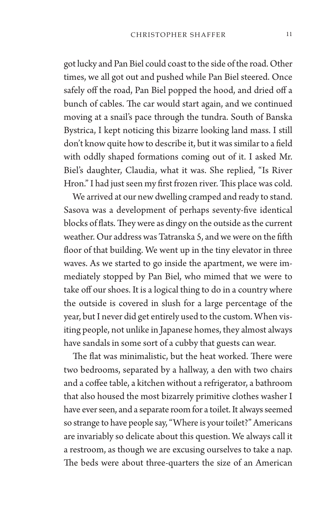got lucky and Pan Biel could coast to the side of the road. Other times, we all got out and pushed while Pan Biel steered. Once safely off the road, Pan Biel popped the hood, and dried off a bunch of cables. The car would start again, and we continued moving at a snail's pace through the tundra. South of Banska Bystrica, I kept noticing this bizarre looking land mass. I still don't know quite how to describe it, but it was similar to a field with oddly shaped formations coming out of it. I asked Mr. Biel's daughter, Claudia, what it was. She replied, "Is River Hron." I had just seen my first frozen river. This place was cold.

We arrived at our new dwelling cramped and ready to stand. Sasova was a development of perhaps seventy-five identical blocks of flats. They were as dingy on the outside as the current weather. Our address was Tatranska 5, and we were on the fifth floor of that building. We went up in the tiny elevator in three waves. As we started to go inside the apartment, we were immediately stopped by Pan Biel, who mimed that we were to take off our shoes. It is a logical thing to do in a country where the outside is covered in slush for a large percentage of the year, but I never did get entirely used to the custom. When visiting people, not unlike in Japanese homes, they almost always have sandals in some sort of a cubby that guests can wear.

The flat was minimalistic, but the heat worked. There were two bedrooms, separated by a hallway, a den with two chairs and a coffee table, a kitchen without a refrigerator, a bathroom that also housed the most bizarrely primitive clothes washer I have ever seen, and a separate room for a toilet. It always seemed so strange to have people say, "Where is your toilet?" Americans are invariably so delicate about this question. We always call it a restroom, as though we are excusing ourselves to take a nap. The beds were about three-quarters the size of an American